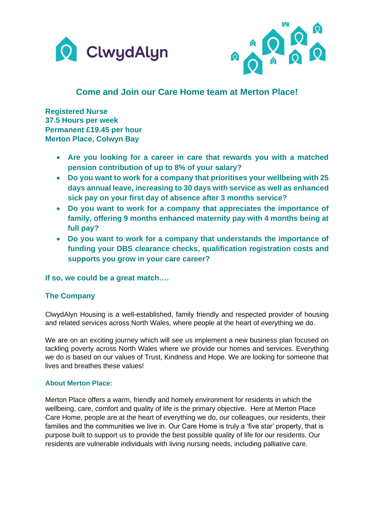



# **Come and Join our Care Home team at Merton Place!**

**Registered Nurse 37.5 Hours per week Permanent £19.45 per hour Merton Place, Colwyn Bay**

- **Are you looking for a career in care that rewards you with a matched pension contribution of up to 8% of your salary?**
- **Do you want to work for a company that prioritises your wellbeing with 25 days annual leave, increasing to 30 days with service as well as enhanced sick pay on your first day of absence after 3 months service?**
- **Do you want to work for a company that appreciates the importance of family, offering 9 months enhanced maternity pay with 4 months being at full pay?**
- **Do you want to work for a company that understands the importance of funding your DBS clearance checks, qualification registration costs and supports you grow in your care career?**

# **If so, we could be a great match….**

# **The Company**

ClwydAlyn Housing is a well-established, family friendly and respected provider of housing and related services across North Wales, where people at the heart of everything we do.

We are on an exciting journey which will see us implement a new business plan focused on tackling poverty across North Wales where we provide our homes and services. Everything we do is based on our values of Trust, Kindness and Hope. We are looking for someone that lives and breathes these values!

#### **About Merton Place:**

Merton Place offers a warm, friendly and homely environment for residents in which the wellbeing, care, comfort and quality of life is the primary objective. Here at Merton Place Care Home, people are at the heart of everything we do, our colleagues, our residents, their families and the communities we live in. Our Care Home is truly a 'five star' property, that is purpose built to support us to provide the best possible quality of life for our residents. Our residents are vulnerable individuals with living nursing needs, including palliative care.